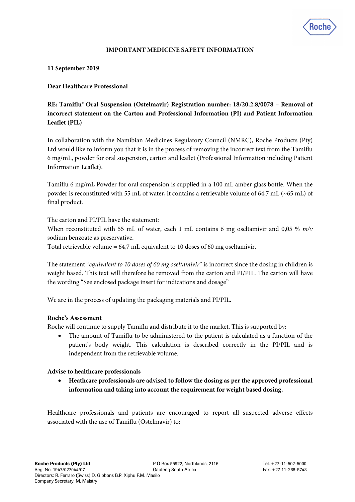

# **IMPORTANT MEDICINE SAFETY INFORMATION**

### **11 September 2019**

# **Dear Healthcare Professional**

**RE: Tamiflu® Oral Suspension (Ostelmavir) Registration number: 18/20.2.8/0078 – Removal of incorrect statement on the Carton and Professional Information (PI) and Patient Information Leaflet (PIL)**

In collaboration with the Namibian Medicines Regulatory Council (NMRC), Roche Products (Pty) Ltd would like to inform you that it is in the process of removing the incorrect text from the Tamiflu 6 mg/mL, powder for oral suspension, carton and leaflet (Professional Information including Patient Information Leaflet).

Tamiflu 6 mg/mL Powder for oral suspension is supplied in a 100 mL amber glass bottle. When the powder is reconstituted with 55 mL of water, it contains a retrievable volume of 64,7 mL (~65 mL) of final product.

The carton and PI/PIL have the statement:

When reconstituted with 55 mL of water, each 1 mL contains 6 mg oseltamivir and 0,05 % *m/v* sodium benzoate as preservative.

Total retrievable volume = 64,7 mL equivalent to 10 doses of 60 mg oseltamivir.

The statement "*equivalent to 10 doses of 60 mg oseltamivir*" is incorrect since the dosing in children is weight based. This text will therefore be removed from the carton and PI/PIL. The carton will have the wording "See enclosed package insert for indications and dosage"

We are in the process of updating the packaging materials and PI/PIL.

### **Roche's Assessment**

Roche will continue to supply Tamiflu and distribute it to the market. This is supported by:

 The amount of Tamiflu to be administered to the patient is calculated as a function of the patient's body weight. This calculation is described correctly in the PI/PIL and is independent from the retrievable volume.

### **Advise to healthcare professionals**

 **Heathcare professionals are advised to follow the dosing as per the approved professional information and taking into account the requirement for weight based dosing.** 

Healthcare professionals and patients are encouraged to report all suspected adverse effects associated with the use of Tamiflu (Ostelmavir) to: